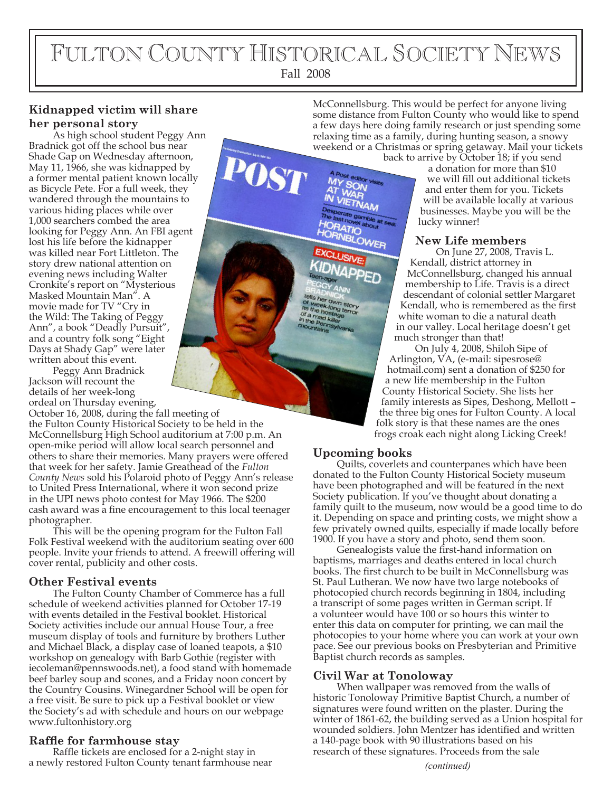# FULTON COUNTY HISTORICAL SOCIETY NEWS Fall 2008

# **Kidnapped victim will share her personal story**

As high school student Peggy Ann Bradnick got off the school bus near Shade Gap on Wednesday afternoon, May 11, 1966, she was kidnapped by a former mental patient known locally as Bicycle Pete. For a full week, they wandered through the mountains to various hiding places while over 1,000 searchers combed the area looking for Peggy Ann. An FBI agent lost his life before the kidnapper was killed near Fort Littleton. The story drew national attention on evening news including Walter Cronkite's report on "Mysterious Masked Mountain Man". A movie made for TV "Cry in the Wild: The Taking of Peggy Ann", a book "Deadly Pursuit", and a country folk song "Eight Days at Shady Gap" were later written about this event.

Peggy Ann Bradnick Jackson will recount the details of her week-long ordeal on Thursday evening,

October 16, 2008, during the fall meeting of the Fulton County Historical Society to be held in the McConnellsburg High School auditorium at 7:00 p.m. An open-mike period will allow local search personnel and others to share their memories. Many prayers were offered that week for her safety. Jamie Greathead of the *Fulton County News* sold his Polaroid photo of Peggy Ann's release to United Press International, where it won second prize in the UPI news photo contest for May 1966. The \$200 cash award was a fine encouragement to this local teenager photographer.

This will be the opening program for the Fulton Fall Folk Festival weekend with the auditorium seating over 600 people. Invite your friends to attend. A freewill offering will cover rental, publicity and other costs.

# **Other Festival events**

The Fulton County Chamber of Commerce has a full schedule of weekend activities planned for October 17-19 with events detailed in the Festival booklet. Historical Society activities include our annual House Tour, a free museum display of tools and furniture by brothers Luther and Michael Black, a display case of loaned teapots, a \$10 workshop on genealogy with Barb Gothie (register with iecoleman@pennswoods.net), a food stand with homemade beef barley soup and scones, and a Friday noon concert by the Country Cousins. Winegardner School will be open for a free visit. Be sure to pick up a Festival booklet or view the Society's ad with schedule and hours on our webpage www.fultonhistory.org

#### **Rafe for farmhouse stay**

Raffle tickets are enclosed for a 2-night stay in a newly restored Fulton County tenant farmhouse near *(continued)*

McConnellsburg. This would be perfect for anyone living some distance from Fulton County who would like to spend a few days here doing family research or just spending some relaxing time as a family, during hunting season, a snowy weekend or a Christmas or spring getaway. Mail your tickets

> back to arrive by October 18; if you send a donation for more than \$10 we will fill out additional tickets and enter them for you. Tickets will be available locally at various businesses. Maybe you will be the lucky winner!

### **New Life members**

On June 27, 2008, Travis L. Kendall, district attorney in McConnellsburg, changed his annual membership to Life. Travis is a direct descendant of colonial settler Margaret Kendall, who is remembered as the first white woman to die a natural death in our valley. Local heritage doesn't get much stronger than that!

On July 4, 2008, Shiloh Sipe of Arlington, VA, (e-mail: sipesrose@ hotmail.com) sent a donation of \$250 for a new life membership in the Fulton County Historical Society. She lists her family interests as Sipes, Deshong, Mellott – the three big ones for Fulton County. A local folk story is that these names are the ones frogs croak each night along Licking Creek!

# **Upcoming books**

Quilts, coverlets and counterpanes which have been donated to the Fulton County Historical Society museum have been photographed and will be featured in the next Society publication. If you've thought about donating a family quilt to the museum, now would be a good time to do it. Depending on space and printing costs, we might show a few privately owned quilts, especially if made locally before 1900. If you have a story and photo, send them soon.

Genealogists value the first-hand information on baptisms, marriages and deaths entered in local church books. The first church to be built in McConnellsburg was St. Paul Lutheran. We now have two large notebooks of photocopied church records beginning in 1804, including a transcript of some pages written in German script. If a volunteer would have 100 or so hours this winter to enter this data on computer for printing, we can mail the photocopies to your home where you can work at your own pace. See our previous books on Presbyterian and Primitive Baptist church records as samples.

### **Civil War at Tonoloway**

When wallpaper was removed from the walls of historic Tonoloway Primitive Baptist Church, a number of signatures were found written on the plaster. During the winter of 1861-62, the building served as a Union hospital for wounded soldiers. John Mentzer has identified and written a 140-page book with 90 illustrations based on his research of these signatures. Proceeds from the sale